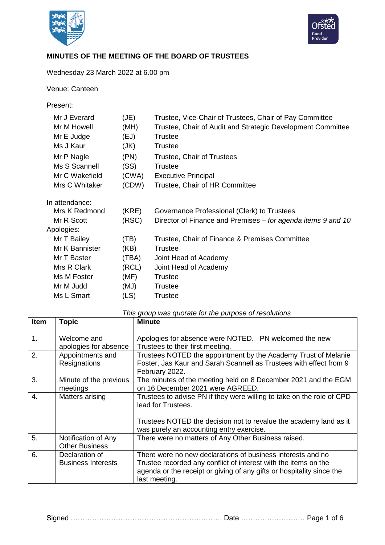



## **MINUTES OF THE MEETING OF THE BOARD OF TRUSTEES**

## Wednesday 23 March 2022 at 6.00 pm

Venue: Canteen

Present:

| Mr J Everard   | (JE)  | Trustee, Vice-Chair of Trustees, Chair of Pay Committee      |
|----------------|-------|--------------------------------------------------------------|
| Mr M Howell    | (MH)  | Trustee, Chair of Audit and Strategic Development Committee  |
| Mr E Judge     | (EJ)  | <b>Trustee</b>                                               |
| Ms J Kaur      | (JK)  | <b>Trustee</b>                                               |
| Mr P Nagle     | (PN)  | Trustee, Chair of Trustees                                   |
| Ms S Scannell  | (SS)  | <b>Trustee</b>                                               |
| Mr C Wakefield | (CWA) | <b>Executive Principal</b>                                   |
| Mrs C Whitaker | (CDW) | Trustee, Chair of HR Committee                               |
| In attendance: |       |                                                              |
| Mrs K Redmond  | (KRE) | Governance Professional (Clerk) to Trustees                  |
| Mr R Scott     | (RSC) | Director of Finance and Premises – for agenda items 9 and 10 |
| Apologies:     |       |                                                              |
| Mr T Bailey    | (TB)  | Trustee, Chair of Finance & Premises Committee               |
| Mr K Bannister | (KB)  | Trustee                                                      |
| Mr T Baster    | (TBA) | Joint Head of Academy                                        |
| Mrs R Clark    | (RCL) | Joint Head of Academy                                        |
| Ms M Foster    | (MF)  | <b>Trustee</b>                                               |
| Mr M Judd      | (MJ)  | <b>Trustee</b>                                               |
| Ms L Smart     | (LS)  | Trustee                                                      |

|  |  |  |  |  | This group was quorate for the purpose of resolutions |
|--|--|--|--|--|-------------------------------------------------------|
|--|--|--|--|--|-------------------------------------------------------|

| <b>Item</b>    | <b>Topic</b>                                 | <b>Minute</b>                                                                                                                                                                                                            |
|----------------|----------------------------------------------|--------------------------------------------------------------------------------------------------------------------------------------------------------------------------------------------------------------------------|
| $\mathbf{1}$ . | Welcome and<br>apologies for absence         | Apologies for absence were NOTED. PN welcomed the new<br>Trustees to their first meeting.                                                                                                                                |
| 2.             | Appointments and<br>Resignations             | Trustees NOTED the appointment by the Academy Trust of Melanie<br>Foster, Jas Kaur and Sarah Scannell as Trustees with effect from 9<br>February 2022.                                                                   |
| 3.             | Minute of the previous<br>meetings           | The minutes of the meeting held on 8 December 2021 and the EGM<br>on 16 December 2021 were AGREED.                                                                                                                       |
| 4.             | Matters arising                              | Trustees to advise PN if they were willing to take on the role of CPD<br>lead for Trustees.<br>Trustees NOTED the decision not to revalue the academy land as it<br>was purely an accounting entry exercise.             |
| 5.             | Notification of Any<br><b>Other Business</b> | There were no matters of Any Other Business raised.                                                                                                                                                                      |
| 6.             | Declaration of<br><b>Business Interests</b>  | There were no new declarations of business interests and no<br>Trustee recorded any conflict of interest with the items on the<br>agenda or the receipt or giving of any gifts or hospitality since the<br>last meeting. |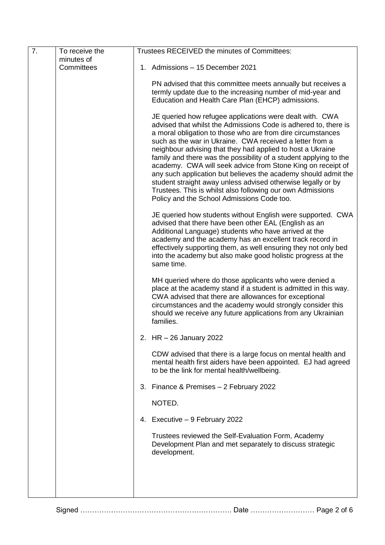| 7. | To receive the | Trustees RECEIVED the minutes of Committees:                                                                                                                                                                                                                                                                                                                                                                                                                                                                                                                                                                                                                                                           |
|----|----------------|--------------------------------------------------------------------------------------------------------------------------------------------------------------------------------------------------------------------------------------------------------------------------------------------------------------------------------------------------------------------------------------------------------------------------------------------------------------------------------------------------------------------------------------------------------------------------------------------------------------------------------------------------------------------------------------------------------|
|    | minutes of     |                                                                                                                                                                                                                                                                                                                                                                                                                                                                                                                                                                                                                                                                                                        |
|    | Committees     | 1. Admissions - 15 December 2021                                                                                                                                                                                                                                                                                                                                                                                                                                                                                                                                                                                                                                                                       |
|    |                | PN advised that this committee meets annually but receives a                                                                                                                                                                                                                                                                                                                                                                                                                                                                                                                                                                                                                                           |
|    |                | termly update due to the increasing number of mid-year and                                                                                                                                                                                                                                                                                                                                                                                                                                                                                                                                                                                                                                             |
|    |                | Education and Health Care Plan (EHCP) admissions.                                                                                                                                                                                                                                                                                                                                                                                                                                                                                                                                                                                                                                                      |
|    |                | JE queried how refugee applications were dealt with. CWA<br>advised that whilst the Admissions Code is adhered to, there is<br>a moral obligation to those who are from dire circumstances<br>such as the war in Ukraine. CWA received a letter from a<br>neighbour advising that they had applied to host a Ukraine<br>family and there was the possibility of a student applying to the<br>academy. CWA will seek advice from Stone King on receipt of<br>any such application but believes the academy should admit the<br>student straight away unless advised otherwise legally or by<br>Trustees. This is whilst also following our own Admissions<br>Policy and the School Admissions Code too. |
|    |                | JE queried how students without English were supported. CWA<br>advised that there have been other EAL (English as an<br>Additional Language) students who have arrived at the<br>academy and the academy has an excellent track record in<br>effectively supporting them, as well ensuring they not only bed<br>into the academy but also make good holistic progress at the<br>same time.                                                                                                                                                                                                                                                                                                             |
|    |                | MH queried where do those applicants who were denied a<br>place at the academy stand if a student is admitted in this way.<br>CWA advised that there are allowances for exceptional<br>circumstances and the academy would strongly consider this<br>should we receive any future applications from any Ukrainian<br>families.                                                                                                                                                                                                                                                                                                                                                                         |
|    |                | 2. HR - 26 January 2022                                                                                                                                                                                                                                                                                                                                                                                                                                                                                                                                                                                                                                                                                |
|    |                | CDW advised that there is a large focus on mental health and<br>mental health first aiders have been appointed. EJ had agreed<br>to be the link for mental health/wellbeing.                                                                                                                                                                                                                                                                                                                                                                                                                                                                                                                           |
|    |                | 3. Finance & Premises - 2 February 2022                                                                                                                                                                                                                                                                                                                                                                                                                                                                                                                                                                                                                                                                |
|    |                | NOTED.                                                                                                                                                                                                                                                                                                                                                                                                                                                                                                                                                                                                                                                                                                 |
|    |                | 4. Executive - 9 February 2022                                                                                                                                                                                                                                                                                                                                                                                                                                                                                                                                                                                                                                                                         |
|    |                | Trustees reviewed the Self-Evaluation Form, Academy<br>Development Plan and met separately to discuss strategic<br>development.                                                                                                                                                                                                                                                                                                                                                                                                                                                                                                                                                                        |
|    |                |                                                                                                                                                                                                                                                                                                                                                                                                                                                                                                                                                                                                                                                                                                        |
|    |                |                                                                                                                                                                                                                                                                                                                                                                                                                                                                                                                                                                                                                                                                                                        |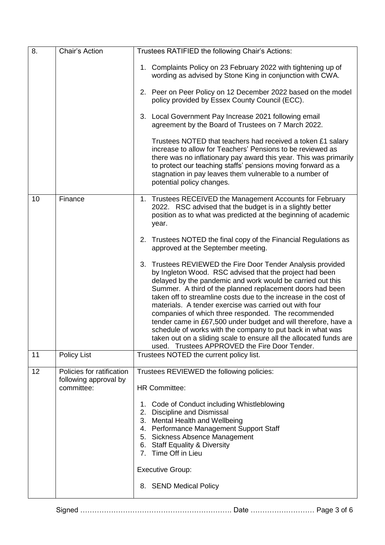| 8. | Chair's Action                                                   | Trustees RATIFIED the following Chair's Actions:                                                                                                                                                                                                                                                                                                                                                                                                                                                                                                                                                                                                                                                 |
|----|------------------------------------------------------------------|--------------------------------------------------------------------------------------------------------------------------------------------------------------------------------------------------------------------------------------------------------------------------------------------------------------------------------------------------------------------------------------------------------------------------------------------------------------------------------------------------------------------------------------------------------------------------------------------------------------------------------------------------------------------------------------------------|
|    |                                                                  | 1. Complaints Policy on 23 February 2022 with tightening up of<br>wording as advised by Stone King in conjunction with CWA.                                                                                                                                                                                                                                                                                                                                                                                                                                                                                                                                                                      |
|    |                                                                  | 2. Peer on Peer Policy on 12 December 2022 based on the model<br>policy provided by Essex County Council (ECC).                                                                                                                                                                                                                                                                                                                                                                                                                                                                                                                                                                                  |
|    |                                                                  | 3. Local Government Pay Increase 2021 following email<br>agreement by the Board of Trustees on 7 March 2022.                                                                                                                                                                                                                                                                                                                                                                                                                                                                                                                                                                                     |
|    |                                                                  | Trustees NOTED that teachers had received a token £1 salary<br>increase to allow for Teachers' Pensions to be reviewed as<br>there was no inflationary pay award this year. This was primarily<br>to protect our teaching staffs' pensions moving forward as a<br>stagnation in pay leaves them vulnerable to a number of<br>potential policy changes.                                                                                                                                                                                                                                                                                                                                           |
| 10 | Finance                                                          | 1. Trustees RECEIVED the Management Accounts for February<br>2022. RSC advised that the budget is in a slightly better<br>position as to what was predicted at the beginning of academic<br>year.                                                                                                                                                                                                                                                                                                                                                                                                                                                                                                |
|    |                                                                  | 2. Trustees NOTED the final copy of the Financial Regulations as<br>approved at the September meeting.                                                                                                                                                                                                                                                                                                                                                                                                                                                                                                                                                                                           |
|    |                                                                  | Trustees REVIEWED the Fire Door Tender Analysis provided<br>3.<br>by Ingleton Wood. RSC advised that the project had been<br>delayed by the pandemic and work would be carried out this<br>Summer. A third of the planned replacement doors had been<br>taken off to streamline costs due to the increase in the cost of<br>materials. A tender exercise was carried out with four<br>companies of which three responded. The recommended<br>tender came in £67,500 under budget and will therefore, have a<br>schedule of works with the company to put back in what was<br>taken out on a sliding scale to ensure all the allocated funds are<br>used. Trustees APPROVED the Fire Door Tender. |
| 11 | <b>Policy List</b>                                               | Trustees NOTED the current policy list.                                                                                                                                                                                                                                                                                                                                                                                                                                                                                                                                                                                                                                                          |
| 12 | Policies for ratification<br>following approval by<br>committee: | Trustees REVIEWED the following policies:<br><b>HR Committee:</b><br>1. Code of Conduct including Whistleblowing<br>2. Discipline and Dismissal<br>3. Mental Health and Wellbeing<br>4. Performance Management Support Staff<br>5. Sickness Absence Management<br>6. Staff Equality & Diversity<br>7. Time Off in Lieu<br><b>Executive Group:</b><br>8. SEND Medical Policy                                                                                                                                                                                                                                                                                                                      |
|    |                                                                  |                                                                                                                                                                                                                                                                                                                                                                                                                                                                                                                                                                                                                                                                                                  |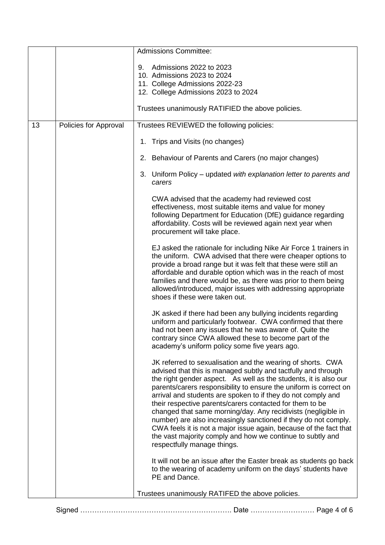|    |                       | <b>Admissions Committee:</b>                                                                                                                                                                                                                                                                                                                                                                                                                                                                                                                                                                                                                                                                            |
|----|-----------------------|---------------------------------------------------------------------------------------------------------------------------------------------------------------------------------------------------------------------------------------------------------------------------------------------------------------------------------------------------------------------------------------------------------------------------------------------------------------------------------------------------------------------------------------------------------------------------------------------------------------------------------------------------------------------------------------------------------|
|    |                       | Admissions 2022 to 2023<br>9.                                                                                                                                                                                                                                                                                                                                                                                                                                                                                                                                                                                                                                                                           |
|    |                       | 10. Admissions 2023 to 2024                                                                                                                                                                                                                                                                                                                                                                                                                                                                                                                                                                                                                                                                             |
|    |                       | 11. College Admissions 2022-23                                                                                                                                                                                                                                                                                                                                                                                                                                                                                                                                                                                                                                                                          |
|    |                       | 12. College Admissions 2023 to 2024                                                                                                                                                                                                                                                                                                                                                                                                                                                                                                                                                                                                                                                                     |
|    |                       | Trustees unanimously RATIFIED the above policies.                                                                                                                                                                                                                                                                                                                                                                                                                                                                                                                                                                                                                                                       |
| 13 | Policies for Approval | Trustees REVIEWED the following policies:                                                                                                                                                                                                                                                                                                                                                                                                                                                                                                                                                                                                                                                               |
|    |                       | 1. Trips and Visits (no changes)                                                                                                                                                                                                                                                                                                                                                                                                                                                                                                                                                                                                                                                                        |
|    |                       | 2. Behaviour of Parents and Carers (no major changes)                                                                                                                                                                                                                                                                                                                                                                                                                                                                                                                                                                                                                                                   |
|    |                       | 3. Uniform Policy – updated with explanation letter to parents and<br>carers                                                                                                                                                                                                                                                                                                                                                                                                                                                                                                                                                                                                                            |
|    |                       | CWA advised that the academy had reviewed cost<br>effectiveness, most suitable items and value for money<br>following Department for Education (DfE) guidance regarding<br>affordability. Costs will be reviewed again next year when<br>procurement will take place.                                                                                                                                                                                                                                                                                                                                                                                                                                   |
|    |                       | EJ asked the rationale for including Nike Air Force 1 trainers in<br>the uniform. CWA advised that there were cheaper options to<br>provide a broad range but it was felt that these were still an<br>affordable and durable option which was in the reach of most<br>families and there would be, as there was prior to them being<br>allowed/introduced, major issues with addressing appropriate<br>shoes if these were taken out.                                                                                                                                                                                                                                                                   |
|    |                       | JK asked if there had been any bullying incidents regarding<br>uniform and particularly footwear. CWA confirmed that there<br>had not been any issues that he was aware of. Quite the<br>contrary since CWA allowed these to become part of the<br>academy's uniform policy some five years ago.                                                                                                                                                                                                                                                                                                                                                                                                        |
|    |                       | JK referred to sexualisation and the wearing of shorts. CWA<br>advised that this is managed subtly and tactfully and through<br>the right gender aspect. As well as the students, it is also our<br>parents/carers responsibility to ensure the uniform is correct on<br>arrival and students are spoken to if they do not comply and<br>their respective parents/carers contacted for them to be<br>changed that same morning/day. Any recidivists (negligible in<br>number) are also increasingly sanctioned if they do not comply.<br>CWA feels it is not a major issue again, because of the fact that<br>the vast majority comply and how we continue to subtly and<br>respectfully manage things. |
|    |                       | It will not be an issue after the Easter break as students go back<br>to the wearing of academy uniform on the days' students have<br>PE and Dance.                                                                                                                                                                                                                                                                                                                                                                                                                                                                                                                                                     |
|    |                       | Trustees unanimously RATIFED the above policies.                                                                                                                                                                                                                                                                                                                                                                                                                                                                                                                                                                                                                                                        |

| Signed …………………………………………………………………… Date ………………………… Page 4 of 6 |  |  |  |  |
|---------------------------------------------------------------|--|--|--|--|
|---------------------------------------------------------------|--|--|--|--|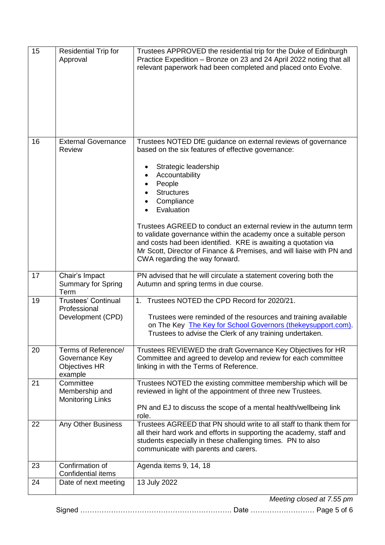| <b>External Governance</b><br>16<br>Trustees NOTED DfE guidance on external reviews of governance<br>based on the six features of effective governance:<br>Review<br>Strategic leadership<br>Accountability<br>People<br><b>Structures</b><br>Compliance<br>Evaluation                                               |
|----------------------------------------------------------------------------------------------------------------------------------------------------------------------------------------------------------------------------------------------------------------------------------------------------------------------|
|                                                                                                                                                                                                                                                                                                                      |
| Trustees AGREED to conduct an external review in the autumn term<br>to validate governance within the academy once a suitable person<br>and costs had been identified. KRE is awaiting a quotation via<br>Mr Scott, Director of Finance & Premises, and will liaise with PN and<br>CWA regarding the way forward.    |
| 17<br>Chair's Impact<br>PN advised that he will circulate a statement covering both the<br><b>Summary for Spring</b><br>Autumn and spring terms in due course.<br>Term                                                                                                                                               |
| 1. Trustees NOTED the CPD Record for 2020/21.<br><b>Trustees' Continual</b><br>19<br>Professional<br>Development (CPD)<br>Trustees were reminded of the resources and training available<br>on The Key The Key for School Governors (thekeysupport.com).<br>Trustees to advise the Clerk of any training undertaken. |
| Terms of Reference/<br>Trustees REVIEWED the draft Governance Key Objectives for HR<br>20<br>Committee and agreed to develop and review for each committee<br>Governance Key<br>linking in with the Terms of Reference.<br><b>Objectives HR</b><br>example                                                           |
| Committee<br>Trustees NOTED the existing committee membership which will be<br>21<br>reviewed in light of the appointment of three new Trustees.<br>Membership and<br><b>Monitoring Links</b><br>PN and EJ to discuss the scope of a mental health/wellbeing link<br>role.                                           |
| Trustees AGREED that PN should write to all staff to thank them for<br>Any Other Business<br>22<br>all their hard work and efforts in supporting the academy, staff and<br>students especially in these challenging times. PN to also<br>communicate with parents and carers.                                        |
| Confirmation of<br>Agenda items 9, 14, 18<br>23<br><b>Confidential items</b>                                                                                                                                                                                                                                         |
| 13 July 2022<br>24<br>Date of next meeting<br>Meeting closed at 7.55 pm                                                                                                                                                                                                                                              |

Signed ………………………………………………………. Date ……………………… Page 5 of 6